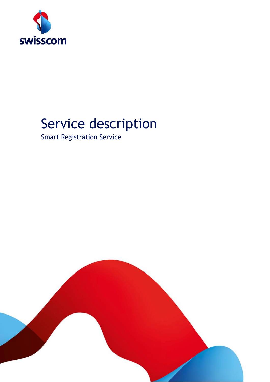

# Service description

Smart Registration Service

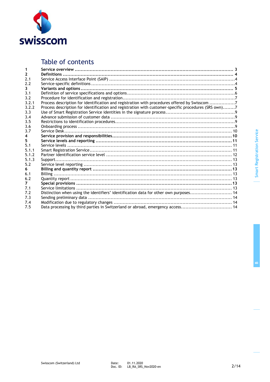

# Table of contents

| $\mathbf{2}$ |                                                                                                      |  |
|--------------|------------------------------------------------------------------------------------------------------|--|
| 2.1          |                                                                                                      |  |
| 2.2          |                                                                                                      |  |
| 3            |                                                                                                      |  |
| 3.1          |                                                                                                      |  |
| 3.2          |                                                                                                      |  |
| 3.2.1        | Process description for identification and registration with procedures offered by Swisscom 7        |  |
| 3.2.2        | Process description for identification and registration with customer-specific procedures (SRS own)7 |  |
| 3.3          |                                                                                                      |  |
| 3.4          |                                                                                                      |  |
| 3.5          |                                                                                                      |  |
| 3.6          |                                                                                                      |  |
| 3.7          |                                                                                                      |  |
| 4            |                                                                                                      |  |
| 5            |                                                                                                      |  |
| 5.1          |                                                                                                      |  |
| 5.1.1        |                                                                                                      |  |
| 5.1.2        |                                                                                                      |  |
| 5.1.3        |                                                                                                      |  |
| 5.2          |                                                                                                      |  |
| 6.           |                                                                                                      |  |
| 6.1          |                                                                                                      |  |
| 6.2          |                                                                                                      |  |
| 7            |                                                                                                      |  |
| 7.1          |                                                                                                      |  |
| 7.2          | Distinction when using the identifiers' identification data for other own purposes 14                |  |
| 7.3          |                                                                                                      |  |
| 7.4          |                                                                                                      |  |
| 7.5          | Data processing by third parties in Switzerland or abroad, emergency access 14                       |  |

**B**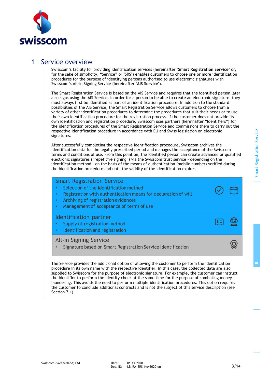

### 1 Service overview

Swisscom's facility for providing identification services (hereinafter "**Smart Registration Service**" or, for the sake of simplicity, "Service" or "SRS") enables customers to choose one or more identification procedures for the purpose of identifying persons authorised to use electronic signatures with Swisscom's All-in Signing Service (hereinafter "**AIS Service**").

The Smart Registration Service is based on the AIS Service and requires that the identified person later also signs using the AIS Service. In order for a person to be able to create an electronic signature, they must always first be identified as part of an identification procedure. In addition to the standard possibilities of the AIS Service, the Smart Registration Service allows customers to choose from a variety of other identification procedures to determine the procedures that suit their needs or to use their own identification procedure for the registration process. If the customer does not provide its own identification and registration procedure, Swisscom uses partners (hereinafter "Identifiers") for the identification procedures of the Smart Registration Service and commissions them to carry out the respective identification procedure in accordance with EU and Swiss legislation on electronic signatures.

After successfully completing the respective identification procedure, Swisscom archives the identification data for the legally prescribed period and manages the acceptance of the Swisscom terms and conditions of use. From this point on, the identified person can create advanced or qualified electronic signatures ("repetitive signing") via the Swisscom trust service – depending on the identification method – on the basis of the means of authentication (mobile number) verified during the identification procedure and until the validity of the identification expires.

#### Smart Registration Service

- Selection of the identification method
- Registration with authentication means for declaration of will
- Archiving of registration evidences
- Management of acceptance of terms of use

#### Identification partner

- Supply of registration method
- Identification and registration

#### All-in Signing Service

•Signature based on Smart Registration Service Identification

The Service provides the additional option of allowing the customer to perform the identification procedure in its own name with the respective identifier. In this case, the collected data are also supplied to Swisscom for the purpose of electronic signature. For example, the customer can instruct the identifier to perform the identity check at the same time for the purpose of combating money laundering. This avoids the need to perform multiple identification procedures. This option requires the customer to conclude additional contracts and is not the subject of this service description (see Section [7.1\)](#page-12-0).

 $2 =$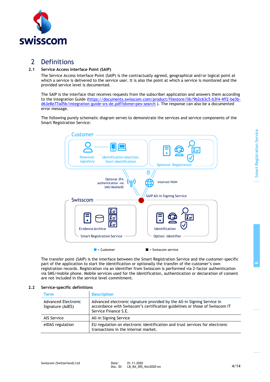

# 2 Definitions

#### **2.1 Service Access Interface Point (SAIP)**

The Service Access Interface Point (SAIP) is the contractually agreed, geographical and/or logical point at which a service is delivered to the service user. It is also the point at which a service is monitored and the provided service level is documented.

The SAIP is the interface that receives requests from the subscriber application and answers them according to the Integration Guide [\(https://documents.swisscom.com/product/filestore/lib/9b2c63c5-b3f4-4ff2-be3b](https://documents.swisscom.com/product/filestore/lib/9b2c63c5-b3f4-4ff2-be3b-d63e8e77a05b/integration-guide-srs-de.pdf?idxme=pex-search)[d63e8e77a05b/integration-guide-srs-de.pdf?idxme=pex-search](https://documents.swisscom.com/product/filestore/lib/9b2c63c5-b3f4-4ff2-be3b-d63e8e77a05b/integration-guide-srs-de.pdf?idxme=pex-search) ). The response can also be a documented error message.

The following purely schematic diagram serves to demonstrate the services and service components of the Smart Registration Service:



The transfer point (SAIP) is the interface between the Smart Registration Service and the customer-specific part of the application to start the identification or optionally the transfer of the customer's own registration records. Registration via an identifier from Swisscom is performed via 2-factor authentication via SMS/mobile phone. Mobile services used for the identification, authentication or declaration of consent are not included in the service level commitment.

#### **2.2 Service-specific definitions**

| Term                                    | <b>Description</b>                                                                                                                                                             |
|-----------------------------------------|--------------------------------------------------------------------------------------------------------------------------------------------------------------------------------|
| Advanced Electronic<br>Signature (AdES) | Advanced electronic signature provided by the All-in Signing Service in<br>accordance with Swisscom's certification guidelines or those of Swisscom IT<br>Service Finance S.E. |
| AIS Service                             | All-in Signing Service                                                                                                                                                         |
| elDAS regulation                        | EU regulation on electronic identification and trust services for electronic<br>transactions in the internal market.                                                           |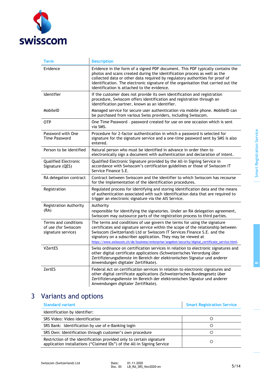

| Term                                                               | <b>Description</b>                                                                                                                                                                                                                                                                                                                                                                                          |
|--------------------------------------------------------------------|-------------------------------------------------------------------------------------------------------------------------------------------------------------------------------------------------------------------------------------------------------------------------------------------------------------------------------------------------------------------------------------------------------------|
| Evidence                                                           | Evidence in the form of a signed PDF document. This PDF typically contains the<br>photos and scans created during the identification process as well as the<br>collected data or other data required by regulatory authorities for proof of<br>identification. The electronic signature of the organisation that carried out the<br>identification is attached to the evidence.                             |
| <b>Identifier</b>                                                  | If the customer does not provide its own identification and registration<br>procedure, Swisscom offers identification and registration through an<br>identification partner, known as an identifier.                                                                                                                                                                                                        |
| MobileID                                                           | Managed service for secure user authentication via mobile phone. MobileID can<br>be purchased from various Swiss providers, including Swisscom.                                                                                                                                                                                                                                                             |
| <b>OTP</b>                                                         | One Time Password - password created for use on one occasion which is sent<br>via SMS.                                                                                                                                                                                                                                                                                                                      |
| Password with One<br><b>Time Password</b>                          | Procedure for 2-factor authentication in which a password is selected for<br>signature for the signature service and a one-time password sent by SMS is also<br>entered.                                                                                                                                                                                                                                    |
| Person to be identified                                            | Natural person who must be identified in advance in order then to<br>electronically sign a document with authentication and declaration of intent.                                                                                                                                                                                                                                                          |
| Qualified Electronic<br>Signature (QES)                            | Qualified Electronic Signature provided by the All-in Signing Service in<br>accordance with Swisscom's certification guidelines or those of Swisscom IT<br>Service Finance S.E.                                                                                                                                                                                                                             |
| RA delegation contract                                             | Contract between Swisscom and the identifier to which Swisscom has recourse<br>for the implementation of the identification procedures.                                                                                                                                                                                                                                                                     |
| Registration                                                       | Regulated process for identifying and storing identification data and the means<br>of authentication associated with such identification data that are required to<br>trigger an electronic signature via the AIS Service.                                                                                                                                                                                  |
| <b>Registration Authority</b><br>(RA)                              | Authority<br>responsible for identifying the signatories. Under an RA delegation agreement,<br>Swisscom may outsource parts of the registration process to third parties.                                                                                                                                                                                                                                   |
| Terms and conditions<br>of use (for Swisscom<br>signature service) | The terms and conditions of use govern the terms for using the signature<br>certificates and signature service within the scope of the relationship between<br>Swisscom (Switzerland) Ltd or Swisscom IT Services Finance S.E. and the<br>signatory on a subscriber application. They may be viewed at<br>https://www.swisscom.ch/de/business/enterprise/angebot/security/digital_certificate_service.html. |
| VZertES                                                            | Swiss ordinance on certification services in relation to electronic signatures and<br>other digital certificate applications (Schweizerisches Verordung über<br>Zertifizierungsdienste im Bereich der elektronischen Signatur und anderer<br>Anwendungen digitaler Zertifikate).                                                                                                                            |
| ZertES                                                             | Federal Act on certification services in relation to electronic signatures and<br>other digital certificate applications (Schweizerisches Bundesgesetz über<br>Zertifizierungsdienste im Bereich der elektronischen Signatur und anderer<br>Anwendungen digitaler Zertifikate).                                                                                                                             |

# 3 Variants and options

| <b>Standard variant</b>                                                                                                                         | <b>Smart Registration Service</b> |
|-------------------------------------------------------------------------------------------------------------------------------------------------|-----------------------------------|
| Identification by identifier:                                                                                                                   |                                   |
| SRS Video: Video identification                                                                                                                 |                                   |
| SRS Bank: Identification by use of e-Banking login                                                                                              |                                   |
| SRS Own: Identification through customer's own procedure                                                                                        |                                   |
| Restriction of the identification provided only to certain signature<br>application installations ("Claimed IDs") of the All-in Signing Service |                                   |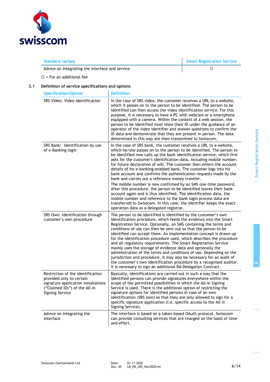

**Standard variant Smart Registration Service**

Advice on integrating the interface and service **Example 20** C

 $O =$  For an additional fee

#### **3.1 Definition of service specifications and options**

| <b>Specification/Option</b>                                                                                                                                     | <b>Definition</b>                                                                                                                                                                                                                                                                                                                                                                                                                                                                                                                                                                                                                                                                                                                                                                                                                                                                                                                                                           |
|-----------------------------------------------------------------------------------------------------------------------------------------------------------------|-----------------------------------------------------------------------------------------------------------------------------------------------------------------------------------------------------------------------------------------------------------------------------------------------------------------------------------------------------------------------------------------------------------------------------------------------------------------------------------------------------------------------------------------------------------------------------------------------------------------------------------------------------------------------------------------------------------------------------------------------------------------------------------------------------------------------------------------------------------------------------------------------------------------------------------------------------------------------------|
| SRS Video: Video identification                                                                                                                                 | In the case of SRS video, the customer receives a URL to a website,<br>which it passes on to the person to be identified. The person to be<br>identified can then access the video identification service. For this<br>purpose, it is necessary to have a PC with webcam or a smartphone<br>equipped with a camera. Within the context of a web session, the<br>person to be identified must show their ID under the guidance of an<br>operator of the video identifier and answer questions to confirm the<br>ID data and demonstrate that they are present in person. The data<br>determined in this way are then transmitted to Swisscom.                                                                                                                                                                                                                                                                                                                                |
| SRS Bank: Identification by use<br>of e-Banking login                                                                                                           | In the case of SRS bank, the customer receives a URL to a website,<br>which he/she passes on to the person to be identified. The person to<br>be identified now calls up the bank identification service, which first<br>asks for the customer's identification data, including mobile number,<br>for future declaration of will. The customer then enters the account<br>details of his e-banking-enabled bank. The customer logs into his<br>bank account and confirms the authentication requests made by the<br>bank and carries out a reference money transfer.<br>The mobile number is now confirmed by an SMS one-time password.<br>After this procedure, the person to be identified leaves their bank<br>account again and is thus identified. The identification data, the<br>mobile number and reference to the bank login process data are<br>transferred to Swisscom. In this case, the identifier keeps the exact<br>operation data as a delegated registrar. |
| SRS Own: Identification through<br>customer's own procedure                                                                                                     | The person to be identified is identified by the customer's own<br>identification procedure, which feeds the evidence into the Smart<br>Registration Service. Optionally, an SMS containing the terms and<br>conditions of use can then be sent out so that the person to be<br>identified can accept them. An implementation concept is drawn up<br>for the identification procedure used, which describes the procedure<br>and all regulatory requirements. The Smart Registration Service<br>mainly uses the storage of evidence data and optionally the<br>administration of the terms and conditions of use. Depending on the<br>jurisdiction and procedure, it may also be necessary for an audit of<br>the customer's own identification procedure by a recognised auditor.<br>It is necessary to sign an additional RA-Delegation Contract.                                                                                                                         |
| Restriction of the identification<br>provided only to certain<br>signature application installations<br>("Claimed IDs") of the All-in<br><b>Signing Service</b> | Basically, identifications are carried out in such a way that the<br>identified persons can provide signatures everywhere within the<br>scope of the permitted possibilities in which the All-in Signing<br>Service is used. There is the additional option of restricting the<br>signature options for identified persons in case of an own<br>identification (SRS own) so that they are only allowed to sign for a<br>specific signature application (i.e. specific access to the All-in<br>Signing Service).                                                                                                                                                                                                                                                                                                                                                                                                                                                             |
| Advice on integrating the<br>interface                                                                                                                          | The interface is based on a token-based OAuth protocol. Swisscom<br>can provide consulting services that are charged on the basis of time<br>and effort.                                                                                                                                                                                                                                                                                                                                                                                                                                                                                                                                                                                                                                                                                                                                                                                                                    |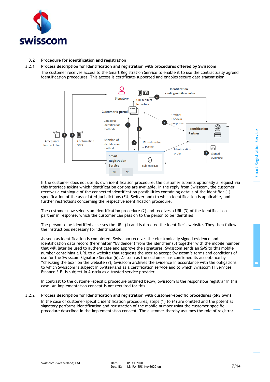

#### **3.2 Procedure for identification and registration**

#### 3.2.1 **Process description for identification and registration with procedures offered by Swisscom** The customer receives access to the Smart Registration Service to enable it to use the contractually agreed identification procedures. This access is certificate-supported and enables secure data transmission.



If the customer does not use its own identification procedure, the customer submits optionally a request via this interface asking which identification options are available. In the reply from Swisscom, the customer receives a catalogue of the connected identification possibilities containing details of the identifier (1), specification of the associated jurisdictions (EU, Switzerland) to which identification is applicable, and further restrictions concerning the respective identification procedure.

The customer now selects an identification procedure (2) and receives a URL (3) of the identification partner in response, which the customer can pass on to the person to be identified.

The person to be identified accesses the URL (4) and is directed the identifier's website. They then follow the instructions necessary for identification.

As soon as identification is completed, Swisscom receives the electronically signed evidence and identification data record (hereinafter "Evidence") from the identifier (5) together with the mobile number that will later be used to authenticate and approve the signatures. Swisscom sends an SMS to this mobile number containing a URL to a website that requests the user to accept Swisscom's terms and conditions of use for the Swisscom Signature Service (6). As soon as the customer has confirmed its acceptance by "checking the box" on the website (7), Swisscom archives the Evidence in accordance with the obligations to which Swisscom is subject in Switzerland as a certification service and to which Swisscom IT Services Finance S.E. is subject in Austria as a trusted service provider.

In contrast to the customer-specific procedure outlined below, Swisscom is the responsible registrar in this case. An implementation concept is not required for this.

#### 3.2.2 **Process description for identification and registration with customer-specific procedures (SRS own)**

In the case of customer-specific identification procedures, steps (1) to (4) are omitted and the potential signatory performs identification and registration of the mobile number using the customer-specific procedure described in the implementation concept. The customer thereby assumes the role of registrar. **B**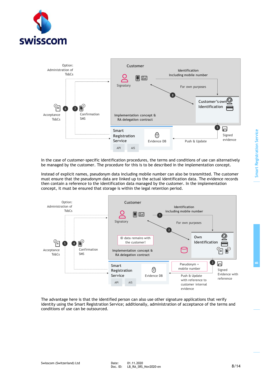



In the case of customer-specific identification procedures, the terms and conditions of use can alternatively be managed by the customer. The procedure for this is to be described in the implementation concept.

Instead of explicit names, pseudonym data including mobile number can also be transmitted. The customer must ensure that the pseudonym data are linked up to the actual identification data. The evidence records then contain a reference to the identification data managed by the customer. In the implementation concept, it must be ensured that storage is within the legal retention period.



The advantage here is that the identified person can also use other signature applications that verify identity using the Smart Registration Service; additionally, administration of acceptance of the terms and conditions of use can be outsourced.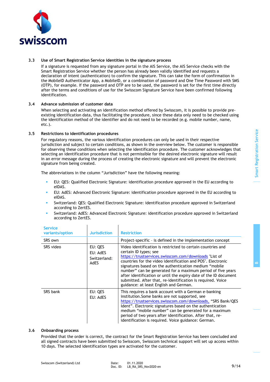

#### **3.3 Use of Smart Registration Service identities in the signature process**

If a signature is requested from any signature portal in the AIS Service, the AIS Service checks with the Smart Registration Service whether the person has already been validly identified and requests a declaration of intent (authentication) to confirm the signature. This can take the form of confirmation in the MobileID Authenticator App, a MobileID, or a combination of password and One Time Password with SMS (OTP), for example. If the password and OTP are to be used, the password is set for the first time directly after the terms and conditions of use for the Swisscom Signature Service have been confirmed following identification.

#### **3.4 Advance submission of customer data**

<span id="page-8-0"></span>When selecting and activating an identification method offered by Swisscom, it is possible to provide preexisting identification data, thus facilitating the procedure, since these data only need to be checked using the identification method of the identifier and do not need to be recorded (e.g. mobile number, name, etc.).

#### **3.5 Restrictions to identification procedures**

For regulatory reasons, the various identification procedures can only be used in their respective jurisdiction and subject to certain conditions, as shown in the overview below. The customer is responsible for observing these conditions when selecting the identification procedure. The customer acknowledges that selecting an identification procedure that is not permissible for the desired electronic signature will result in an error message during the process of creating the electronic signature and will prevent the electronic signature from being created.

The abbreviations in the column "Jurisdiction" have the following meaning:

- EU: QES: Qualified Electronic Signature: identification procedure approved in the EU according to eIDAS.
- EU: AdES: Advanced Electronic Signature: identification procedure approved in the EU according to eIDAS.
- Switzerland: QES: Qualified Electronic Signature: identification procedure approved in Switzerland according to ZertES.
- Switzerland: AdES: Advanced Electronic Signature: identification procedure approved in Switzerland according to ZertES.

| <b>Service</b><br>variants/option | <b>Jurisdiction</b>                                | <b>Restriction</b>                                                                                                                                                                                                                                                                                                                                                                                                                                                                                                |
|-----------------------------------|----------------------------------------------------|-------------------------------------------------------------------------------------------------------------------------------------------------------------------------------------------------------------------------------------------------------------------------------------------------------------------------------------------------------------------------------------------------------------------------------------------------------------------------------------------------------------------|
| SRS own                           |                                                    | Project-specific - is defined in the implementation concept                                                                                                                                                                                                                                                                                                                                                                                                                                                       |
| SRS video                         | EU: QES<br>EU: AdES<br>Switzerland:<br><b>AdES</b> | Video identification is restricted to certain countries and<br>certain ID types; see<br>https://trustservices.swisscom.com/downloads "List of<br>countries for the video identification and POS". Electronic<br>signatures based on the authentication medium "mobile<br>number" can be generated for a maximum period of five years<br>after identification or until the expiry date of the ID document<br>submitted. After that, re-identification is required. Voice<br>guidance: at least English and German. |
| SRS bank                          | EU: QES<br>EU: AdES                                | This requires a bank account with a German e-banking<br>institution. Some banks are not supported, see<br>https://trustservices.swisscom.com/downloads, "SRS Bank/QES<br>Ident". Electronic signatures based on the authentication<br>medium "mobile number" can be generated for a maximum<br>period of two years after identification. After that, re-<br>identification is required. Voice guidance: German.                                                                                                   |

#### **3.6 Onboarding process**

Provided that the order is correct, the contract for the Smart Registration Service has been concluded and all signed contracts have been submitted to Swisscom, Swisscom technical support will set up access within 10 days. The selected identification types are activated for the customer.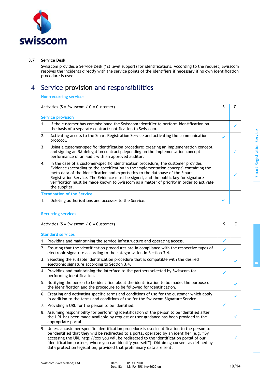# swisscom

#### **3.7 Service Desk**

Swisscom provides a Service Desk (1st level support) for identifications. According to the request, Swisscom resolves the incidents directly with the service points of the identifiers if necessary if no own identification procedure is used.

# 4 Service provision and responsibilities

**Non-recurring services**

Activities  $(S = \text{Swisscom} / C = \text{Customer})$  **S C** 

|    | ACCIVICIO IS SHISSCOTTI C COSCOTTION                                                                                                                                                                                                                                                                                                                                                                                                                              |   |  |
|----|-------------------------------------------------------------------------------------------------------------------------------------------------------------------------------------------------------------------------------------------------------------------------------------------------------------------------------------------------------------------------------------------------------------------------------------------------------------------|---|--|
|    | <b>Service provision</b>                                                                                                                                                                                                                                                                                                                                                                                                                                          |   |  |
| 1. | If the customer has commissioned the Swisscom identifier to perform identification on<br>the basis of a separate contract: notification to Swisscom.                                                                                                                                                                                                                                                                                                              |   |  |
| 2. | Activating access to the Smart Registration Service and activating the communication<br>protocol.                                                                                                                                                                                                                                                                                                                                                                 | ✓ |  |
| 3. | Using a customer-specific identification procedure: creating an implementation concept<br>and signing an RA delegation contract; depending on the implementation concept,<br>performance of an audit with an approved auditor.                                                                                                                                                                                                                                    |   |  |
| 4. | In the case of a customer-specific identification procedure, the customer provides<br>Evidence (according to the specification in the implementation concept) containing the<br>meta data of the identification and exports this to the database of the Smart<br>Registration Service. The Evidence must be signed, and the public key for signature<br>verification must be made known to Swisscom as a matter of priority in order to activate<br>the supplier. |   |  |
|    | <b>Termination of the Service</b>                                                                                                                                                                                                                                                                                                                                                                                                                                 |   |  |
|    | Deleting authorisations and accesses to the Service.                                                                                                                                                                                                                                                                                                                                                                                                              |   |  |

#### **Recurring services**

Activities (S = Swisscom / C = Customer) **S C** 

| <b>Standard services</b>                                                                                                                                                                                                                                                                                                                                                                                                                                      |   |  |
|---------------------------------------------------------------------------------------------------------------------------------------------------------------------------------------------------------------------------------------------------------------------------------------------------------------------------------------------------------------------------------------------------------------------------------------------------------------|---|--|
| 1. Providing and maintaining the service infrastructure and operating access.                                                                                                                                                                                                                                                                                                                                                                                 | ✓ |  |
| 2. Ensuring that the identification procedures are in compliance with the respective types of<br>electronic signature according to the categorisation in Section 3.4.                                                                                                                                                                                                                                                                                         |   |  |
| 3. Selecting the suitable identification procedure that is compatible with the desired<br>electronic signature according to Section 3.4.                                                                                                                                                                                                                                                                                                                      |   |  |
| 4. Providing and maintaining the interface to the partners selected by Swisscom for<br>performing identification.                                                                                                                                                                                                                                                                                                                                             | ✓ |  |
| 5. Notifying the person to be identified about the identification to be made, the purpose of<br>the identification and the procedure to be followed for identification.                                                                                                                                                                                                                                                                                       |   |  |
| 6. Creating and activating specific terms and conditions of use for the customer which apply<br>in addition to the terms and conditions of use for the Swisscom Signature Service.                                                                                                                                                                                                                                                                            |   |  |
| 7. Providing a URL for the person to be identified.                                                                                                                                                                                                                                                                                                                                                                                                           | ✓ |  |
| 8. Assuming responsibility for performing identification of the person to be identified after<br>the URL has been made available by request or user guidance has been provided in the<br>appropriate portal.                                                                                                                                                                                                                                                  |   |  |
| 9. Unless a customer-specific identification procedure is used: notification to the person to<br>be identified that they will be redirected to a portal operated by an identifier (e.g. "By<br>accessing the URL http://xxx you will be redirected to the identification portal of our<br>identification partner, where you can identify yourself"). Obtaining consent as defined by<br>data protection legislation, provided that preliminary data are sent. |   |  |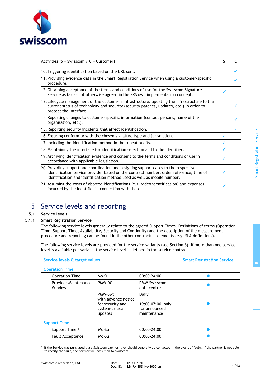

| Activities ( $S = Swisscom / C = Customer$ )                                                                                                                                                                                                              | S |  |
|-----------------------------------------------------------------------------------------------------------------------------------------------------------------------------------------------------------------------------------------------------------|---|--|
| 10. Triggering identification based on the URL sent.                                                                                                                                                                                                      |   |  |
| 11. Providing evidence data in the Smart Registration Service when using a customer-specific<br>procedure.                                                                                                                                                |   |  |
| 12. Obtaining acceptance of the terms and conditions of use for the Swisscom Signature<br>Service as far as not otherwise agreed in the SRS own implementation concept.                                                                                   | ✓ |  |
| 13. Lifecycle management of the customer's infrastructure: updating the infrastructure to the<br>current status of technology and security (security patches, updates, etc.) in order to<br>protect the interface.                                        |   |  |
| 14. Reporting changes to customer-specific information (contact persons, name of the<br>organisation, etc.).                                                                                                                                              |   |  |
| 15. Reporting security incidents that affect identification.                                                                                                                                                                                              |   |  |
| 16. Ensuring conformity with the chosen signature type and jurisdiction.                                                                                                                                                                                  | ✓ |  |
| 17. Including the identification method in the repeat audits.                                                                                                                                                                                             | ✓ |  |
| 18. Maintaining the interface for identification selection and to the identifiers.                                                                                                                                                                        | ✓ |  |
| 19. Archiving identification evidence and consent to the terms and conditions of use in<br>accordance with applicable legislation.                                                                                                                        | ✓ |  |
| 20. Providing support and coordination and assigning support cases to the respective<br>identification service provider based on the contract number, order reference, time of<br>identification and identification method used as well as mobile number. | ✓ |  |
| 21. Assuming the costs of aborted identifications (e.g. video identification) and expenses<br>incurred by the identifier in connection with these.                                                                                                        | ✓ |  |

# 5 Service levels and reporting

#### **5.1 Service levels**

#### 5.1.1 **Smart Registration Service**

The following service levels generally relate to the agreed Support Times. Definitions of terms (Operation Time, Support Time, Availability, Security and Continuity) and the description of the measurement procedure and reporting can be found in the other contractual elements (e.g. SLA definitions).

The following service levels are provided for the service variants (see Section 3). If more than one service level is available per variant, the service level is defined in the service contract.

| Service levels & target values |                                                                                  |                                                            | <b>Smart Registration Service</b> |
|--------------------------------|----------------------------------------------------------------------------------|------------------------------------------------------------|-----------------------------------|
| <b>Operation Time</b>          |                                                                                  |                                                            |                                   |
| <b>Operation Time</b>          | Mo-Su                                                                            | $00:00 - 24:00$                                            |                                   |
| Provider Maintenance<br>Window | PMW DC                                                                           | <b>PMW Swisscom</b><br>data centre                         |                                   |
|                                | PMW-Sw:<br>with advance notice<br>for security and<br>system-critical<br>updates | Daily<br>19:00-07:00, only<br>for announced<br>maintenance |                                   |
| <b>Support Time</b>            |                                                                                  |                                                            |                                   |
| Support Time <sup>1</sup>      | Mo-Su                                                                            | 00:00-24:00                                                |                                   |
| <b>Fault Acceptance</b>        | Mo-Su                                                                            | 00:00-24:00                                                |                                   |

1 If the Service was purchased via a Swisscom partner, they should generally be contacted in the event of faults. If the partner is not able to rectify the fault, the partner will pass it on to Swisscom.

**B**

Smart Registration Service

**Smart Registration Service**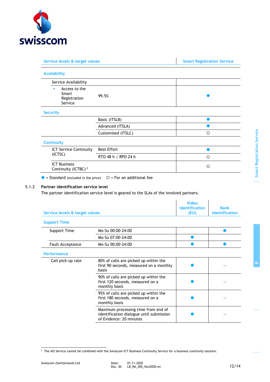

| Service levels & target values                         |                     | <b>Smart Registration Service</b> |
|--------------------------------------------------------|---------------------|-----------------------------------|
| <b>Availability</b>                                    |                     |                                   |
| Service Availability                                   |                     |                                   |
| Access to the<br>٠<br>Smart<br>Registration<br>Service | 99.5%               |                                   |
| <b>Security</b>                                        |                     |                                   |
|                                                        | Basic (ITSLB)       |                                   |
|                                                        | Advanced (ITSLA)    |                                   |
|                                                        | Customised (ITSLC)  | O                                 |
| <b>Continuity</b>                                      |                     |                                   |
| <b>ICT Service Continuity</b>                          | <b>Best Effort</b>  |                                   |
| (ICTSC)                                                | RTO 48 h   RPO 24 h | $\Omega$                          |
| <b>ICT Business</b><br>Continuity (ICTBC) <sup>2</sup> |                     | O                                 |

 $\bullet$  = Standard (included in the price)  $\circ$  = For an additional fee

#### 5.1.2 **Partner identification service level**

The partner identification service level is geared to the SLAs of the involved partners.

| Service levels & target values |                                                                                                            | <b>Video</b><br>identification<br>(EU) | <b>Bank</b><br>identification |
|--------------------------------|------------------------------------------------------------------------------------------------------------|----------------------------------------|-------------------------------|
| <b>Support Time</b>            |                                                                                                            |                                        |                               |
| Support Time                   | Mo-Su 00:00-24:00                                                                                          |                                        |                               |
|                                | Mo-Su 07:00-24:00                                                                                          |                                        |                               |
| <b>Fault Acceptance</b>        | Mo-Su 00:00-24:00                                                                                          |                                        |                               |
| <b>Performance</b>             |                                                                                                            |                                        |                               |
| Call pick-up rate              | 80% of calls are picked up within the<br>first 90 seconds, measured on a monthly<br>basis                  |                                        |                               |
|                                | 90% of calls are picked up within the<br>first 120 seconds, measured on a<br>monthly basis                 |                                        |                               |
|                                | 95% of calls are picked up within the<br>first 180 seconds, measured on a<br>monthly basis                 |                                        |                               |
|                                | Maximum processing time from end of<br>identification dialogue until submission<br>of Evidence: 20 minutes |                                        |                               |

**B**

 $2$  The AIS Service cannot be combined with the Swisscom ICT Business Continuity Service for a business continuity solution.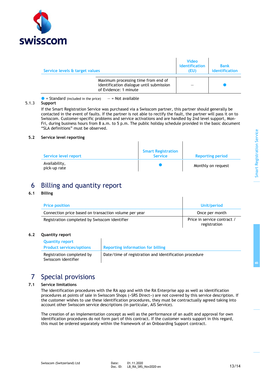

| Service levels & target values |                                                                                                          | <b>Video</b><br>identification<br>(EU) | <b>Bank</b><br>identification |
|--------------------------------|----------------------------------------------------------------------------------------------------------|----------------------------------------|-------------------------------|
|                                | Maximum processing time from end of<br>identification dialogue until submission<br>of Evidence: 1 minute |                                        |                               |

 $\bullet$  = Standard (included in the price)  $-$  = Not available

#### 5.1.3 **Support**

If the Smart Registration Service was purchased via a Swisscom partner, this partner should generally be contacted in the event of faults. If the partner is not able to rectify the fault, the partner will pass it on to Swisscom. Customer-specific problems and service activations and are handled by 2nd level support, Mon-Fri, during business hours from 8 a.m. to 5 p.m. The public holiday schedule provided in the basic document "SLA definitions" must be observed.

#### **5.2 Service level reporting**

| Service level report          | <b>Smart Registration</b><br><b>Service</b> | <b>Reporting period</b> |
|-------------------------------|---------------------------------------------|-------------------------|
| Availability,<br>pick-up rate |                                             | Monthly on request      |

## 6 Billing and quantity report

#### **6.1 Billing**

| <b>Price position</b>                                 | Unit/period                                 |
|-------------------------------------------------------|---------------------------------------------|
| Connection price based on transaction volume per year | Once per month                              |
| Registration completed by Swisscom identifier         | Price in service contract /<br>registration |

#### **6.2 Quantity report**

| <b>Quantity report</b><br><b>Product services/options</b> | Reporting information for billing                      |
|-----------------------------------------------------------|--------------------------------------------------------|
| Registration completed by<br>Swisscom identifier          | Date/time of registration and identification procedure |

# 7 Special provisions

#### **7.1 Service limitations**

<span id="page-12-0"></span>The identification procedures with the RA app and with the RA Enterprise app as well as identification procedures at points of sale in Swisscom Shops («SRS Direct») are not covered by this service description. If the customer wishes to use these identification procedures, they must be contractually agreed taking into account other Swisscom service descriptions (in particular, AIS Service).

The creation of an implementation concept as well as the performance of an audit and approval for own identification procedures do not form part of this contract. If the customer wants support in this regard, this must be ordered separately within the framework of an Onboarding Support contract.